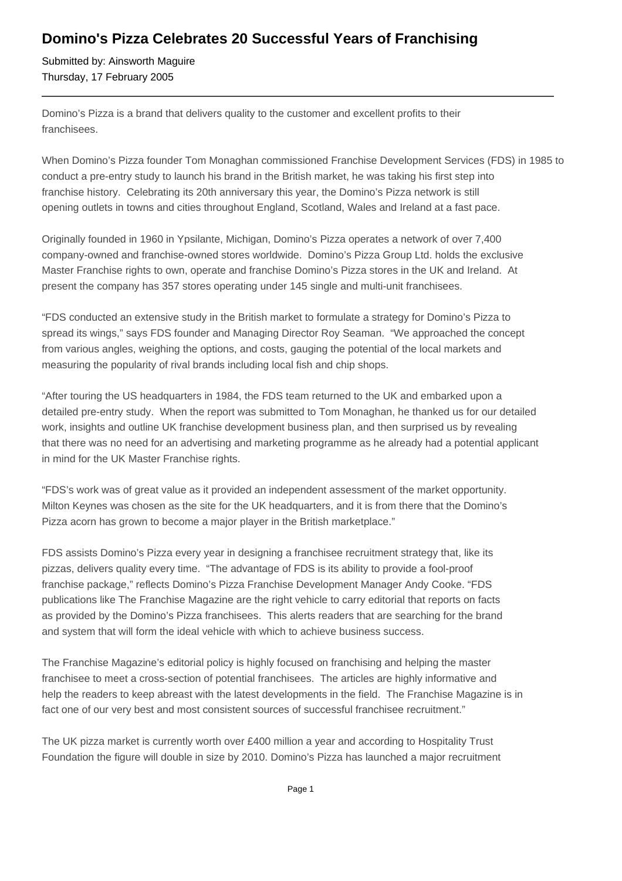## **Domino's Pizza Celebrates 20 Successful Years of Franchising**

Submitted by: Ainsworth Maguire Thursday, 17 February 2005

Domino's Pizza is a brand that delivers quality to the customer and excellent profits to their franchisees.

When Domino's Pizza founder Tom Monaghan commissioned Franchise Development Services (FDS) in 1985 to conduct a pre-entry study to launch his brand in the British market, he was taking his first step into franchise history. Celebrating its 20th anniversary this year, the Domino's Pizza network is still opening outlets in towns and cities throughout England, Scotland, Wales and Ireland at a fast pace.

Originally founded in 1960 in Ypsilante, Michigan, Domino's Pizza operates a network of over 7,400 company-owned and franchise-owned stores worldwide. Domino's Pizza Group Ltd. holds the exclusive Master Franchise rights to own, operate and franchise Domino's Pizza stores in the UK and Ireland. At present the company has 357 stores operating under 145 single and multi-unit franchisees.

"FDS conducted an extensive study in the British market to formulate a strategy for Domino's Pizza to spread its wings," says FDS founder and Managing Director Roy Seaman. "We approached the concept from various angles, weighing the options, and costs, gauging the potential of the local markets and measuring the popularity of rival brands including local fish and chip shops.

"After touring the US headquarters in 1984, the FDS team returned to the UK and embarked upon a detailed pre-entry study. When the report was submitted to Tom Monaghan, he thanked us for our detailed work, insights and outline UK franchise development business plan, and then surprised us by revealing that there was no need for an advertising and marketing programme as he already had a potential applicant in mind for the UK Master Franchise rights.

"FDS's work was of great value as it provided an independent assessment of the market opportunity. Milton Keynes was chosen as the site for the UK headquarters, and it is from there that the Domino's Pizza acorn has grown to become a major player in the British marketplace."

FDS assists Domino's Pizza every year in designing a franchisee recruitment strategy that, like its pizzas, delivers quality every time. "The advantage of FDS is its ability to provide a fool-proof franchise package," reflects Domino's Pizza Franchise Development Manager Andy Cooke. "FDS publications like The Franchise Magazine are the right vehicle to carry editorial that reports on facts as provided by the Domino's Pizza franchisees. This alerts readers that are searching for the brand and system that will form the ideal vehicle with which to achieve business success.

The Franchise Magazine's editorial policy is highly focused on franchising and helping the master franchisee to meet a cross-section of potential franchisees. The articles are highly informative and help the readers to keep abreast with the latest developments in the field. The Franchise Magazine is in fact one of our very best and most consistent sources of successful franchisee recruitment."

The UK pizza market is currently worth over £400 million a year and according to Hospitality Trust Foundation the figure will double in size by 2010. Domino's Pizza has launched a major recruitment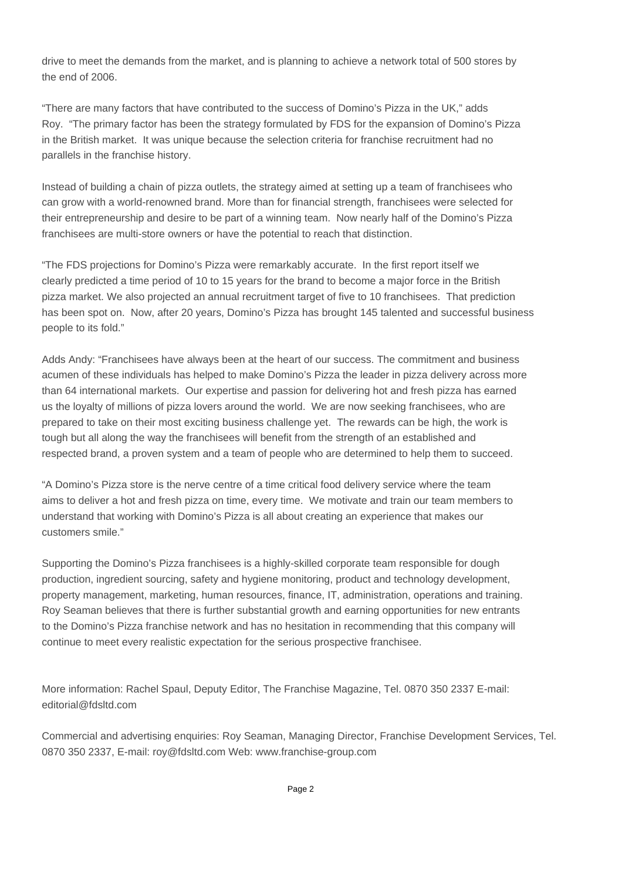drive to meet the demands from the market, and is planning to achieve a network total of 500 stores by the end of 2006.

"There are many factors that have contributed to the success of Domino's Pizza in the UK," adds Roy. "The primary factor has been the strategy formulated by FDS for the expansion of Domino's Pizza in the British market. It was unique because the selection criteria for franchise recruitment had no parallels in the franchise history.

Instead of building a chain of pizza outlets, the strategy aimed at setting up a team of franchisees who can grow with a world-renowned brand. More than for financial strength, franchisees were selected for their entrepreneurship and desire to be part of a winning team. Now nearly half of the Domino's Pizza franchisees are multi-store owners or have the potential to reach that distinction.

"The FDS projections for Domino's Pizza were remarkably accurate. In the first report itself we clearly predicted a time period of 10 to 15 years for the brand to become a major force in the British pizza market. We also projected an annual recruitment target of five to 10 franchisees. That prediction has been spot on. Now, after 20 years, Domino's Pizza has brought 145 talented and successful business people to its fold."

Adds Andy: "Franchisees have always been at the heart of our success. The commitment and business acumen of these individuals has helped to make Domino's Pizza the leader in pizza delivery across more than 64 international markets. Our expertise and passion for delivering hot and fresh pizza has earned us the loyalty of millions of pizza lovers around the world. We are now seeking franchisees, who are prepared to take on their most exciting business challenge yet. The rewards can be high, the work is tough but all along the way the franchisees will benefit from the strength of an established and respected brand, a proven system and a team of people who are determined to help them to succeed.

"A Domino's Pizza store is the nerve centre of a time critical food delivery service where the team aims to deliver a hot and fresh pizza on time, every time. We motivate and train our team members to understand that working with Domino's Pizza is all about creating an experience that makes our customers smile."

Supporting the Domino's Pizza franchisees is a highly-skilled corporate team responsible for dough production, ingredient sourcing, safety and hygiene monitoring, product and technology development, property management, marketing, human resources, finance, IT, administration, operations and training. Roy Seaman believes that there is further substantial growth and earning opportunities for new entrants to the Domino's Pizza franchise network and has no hesitation in recommending that this company will continue to meet every realistic expectation for the serious prospective franchisee.

More information: Rachel Spaul, Deputy Editor, The Franchise Magazine, Tel. 0870 350 2337 E-mail: editorial@fdsltd.com

Commercial and advertising enquiries: Roy Seaman, Managing Director, Franchise Development Services, Tel. 0870 350 2337, E-mail: roy@fdsltd.com Web: www.franchise-group.com